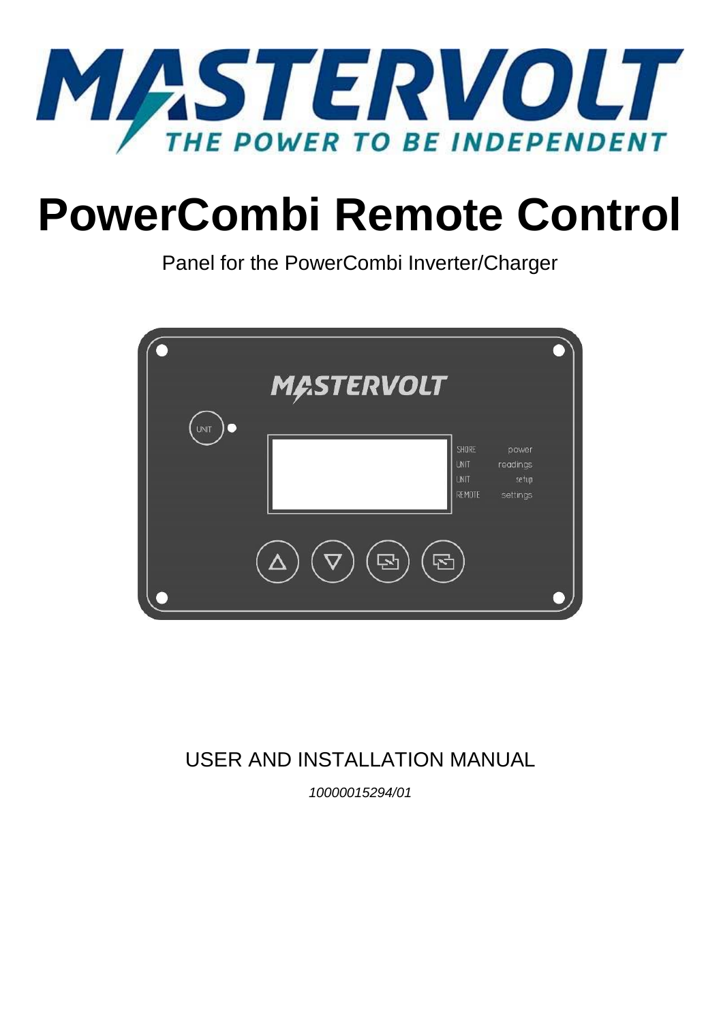

# **PowerCombi Remote Control**

Panel for the PowerCombi Inverter/Charger



# USER AND INSTALLATION MANUAL

*10000015294/01*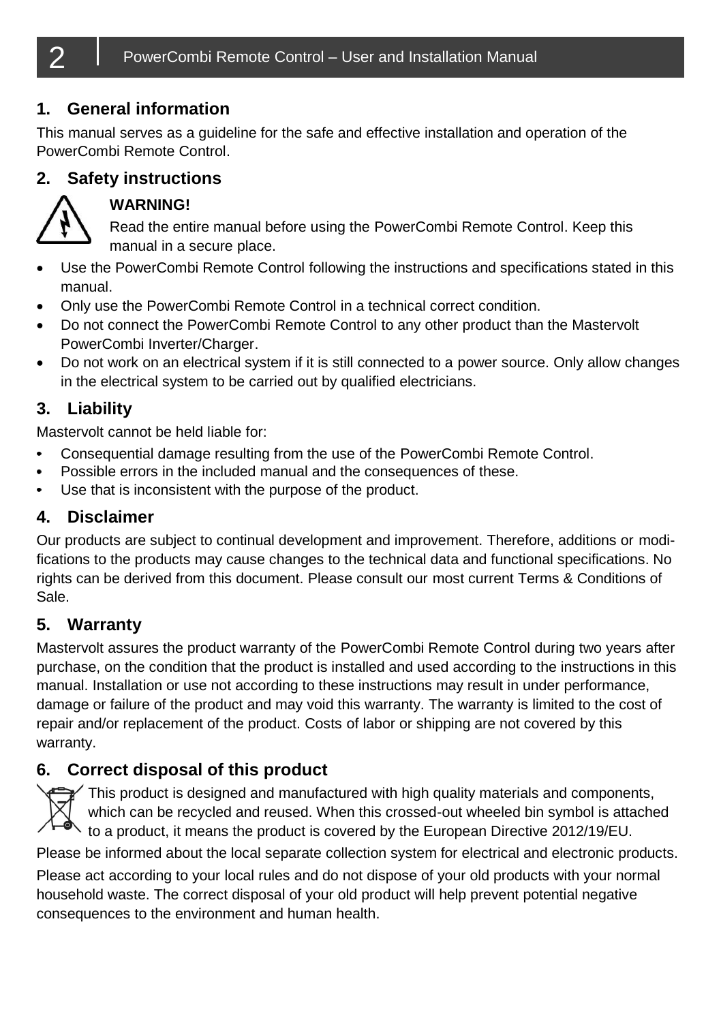## **1. General information**

This manual serves as a guideline for the safe and effective installation and operation of the PowerCombi Remote Control.

## **2. Safety instructions**



## **WARNING!**

Read the entire manual before using the PowerCombi Remote Control. Keep this manual in a secure place.

- Use the PowerCombi Remote Control following the instructions and specifications stated in this manual.
- Only use the PowerCombi Remote Control in a technical correct condition.
- Do not connect the PowerCombi Remote Control to any other product than the Mastervolt PowerCombi Inverter/Charger.
- Do not work on an electrical system if it is still connected to a power source. Only allow changes in the electrical system to be carried out by qualified electricians.

## **3. Liability**

Mastervolt cannot be held liable for:

- Consequential damage resulting from the use of the PowerCombi Remote Control.
- Possible errors in the included manual and the consequences of these.  $\bullet$
- Use that is inconsistent with the purpose of the product.

## **4. Disclaimer**

Our products are subject to continual development and improvement. Therefore, additions or modifications to the products may cause changes to the technical data and functional specifications. No rights can be derived from this document. Please consult our most current Terms & Conditions of Sale.

## **5. Warranty**

Mastervolt assures the product warranty of the PowerCombi Remote Control during two years after purchase, on the condition that the product is installed and used according to the instructions in this manual. Installation or use not according to these instructions may result in under performance, damage or failure of the product and may void this warranty. The warranty is limited to the cost of repair and/or replacement of the product. Costs of labor or shipping are not covered by this warranty.

## **6. Correct disposal of this product**

tative This product is designed and manufactured with high quality materials and components, which can be recycled and reused. When this crossed-out wheeled bin symbol is attached to a product, it means the product is covered by the European Directive 2012/19/EU. Please be informed about the local separate collection system for electrical and electronic products. Please act according to your local rules and do not dispose of your old products with your normal household waste. The correct disposal of your old product will help prevent potential negative consequences to the environment and human health.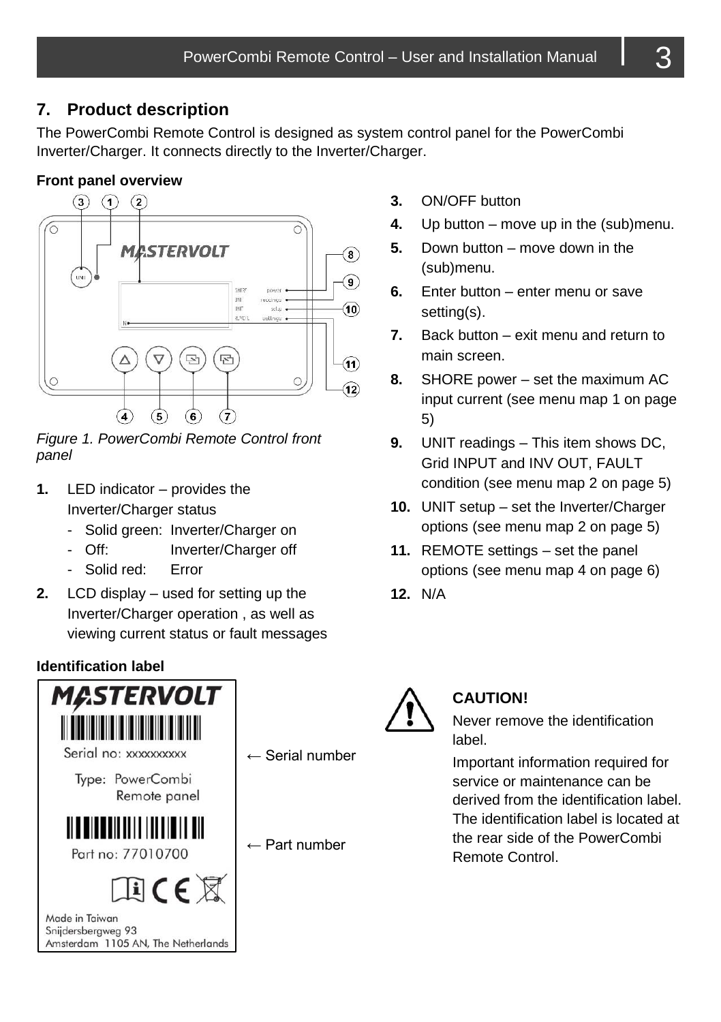## <span id="page-2-1"></span>**7. Product description**

The PowerCombi Remote Control is designed as system control panel for the PowerCombi Inverter/Charger. It connects directly to the Inverter/Charger.

#### **Front panel overview**



<span id="page-2-0"></span>*Figure 1. PowerCombi Remote Control front panel*

- **1.** LED indicator provides the Inverter/Charger status
	- Solid green: Inverter/Charger on
	- Off: Inverter/Charger off
	- Solid red: Error
- **2.** LCD display used for setting up the Inverter/Charger operation , as well as viewing current status or fault messages

#### **Identification label**



- **3.** ON/OFF button
- **4.** Up button move up in the (sub)menu.
- **5.** Down button move down in the (sub)menu.
- **6.** Enter button enter menu or save setting(s).
- **7.** Back button exit menu and return to main screen.
- **8.** SHORE power set the maximum AC input current (see menu ma[p 1](#page-4-0) on page [5\)](#page-4-0)
- **9.** UNIT readings This item shows DC, Grid INPUT and INV OUT, FAULT condition (see menu map [2](#page-4-1) on pag[e 5\)](#page-4-1)
- 10. UNIT setup set the Inverter/Charger options (see menu ma[p 2](#page-4-1) on page [5\)](#page-4-2)
- **11.** REMOTE settings set the panel options (see menu ma[p 4](#page-5-0) on page [6\)](#page-5-0)
- **12.** N/A



## **CAUTION!**

Never remove the identification label.

Important information required for service or maintenance can be derived from the identification label. The identification label is located at the rear side of the PowerCombi Remote Control.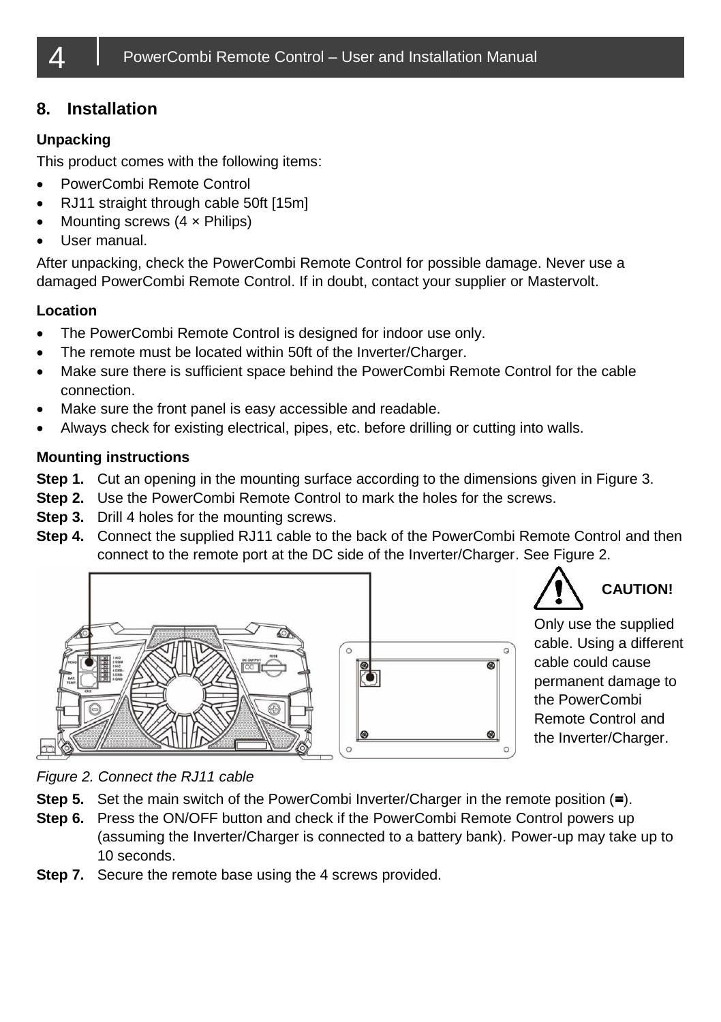## **8. Installation**

#### **Unpacking**

This product comes with the following items:

- PowerCombi Remote Control
- RJ11 straight through cable 50ft [15m]
- Mounting screws  $(4 \times$  Philips)
- User manual.

After unpacking, check the PowerCombi Remote Control for possible damage. Never use a damaged PowerCombi Remote Control. If in doubt, contact your supplier or Mastervolt.

#### **Location**

- The PowerCombi Remote Control is designed for indoor use only.
- The remote must be located within 50ft of the Inverter/Charger.
- Make sure there is sufficient space behind the PowerCombi Remote Control for the cable connection.
- Make sure the front panel is easy accessible and readable.
- Always check for existing electrical, pipes, etc. before drilling or cutting into walls.

#### **Mounting instructions**

- **Step 1.** Cut an opening in the mounting surface according to the dimensions given in [Figure 3.](#page-6-0)
- **Step 2.** Use the PowerCombi Remote Control to mark the holes for the screws.
- **Step 3.** Drill 4 holes for the mounting screws.
- **Step 4.** Connect the supplied RJ11 cable to the back of the PowerCombi Remote Control and then connect to the remote port at the DC side of the Inverter/Charger. See [Figure 2.](#page-3-0)



**CAUTION!**

Only use the supplied cable. Using a different cable could cause permanent damage to the PowerCombi Remote Control and the Inverter/Charger.

<span id="page-3-0"></span>*Figure 2. Connect the RJ11 cable*

- **Step 5.** Set the main switch of the PowerCombi Inverter/Charger in the remote position (**=**).
- **Step 6.** Press the ON/OFF button and check if the PowerCombi Remote Control powers up (assuming the Inverter/Charger is connected to a battery bank). Power-up may take up to 10 seconds.
- **Step 7.** Secure the remote base using the 4 screws provided.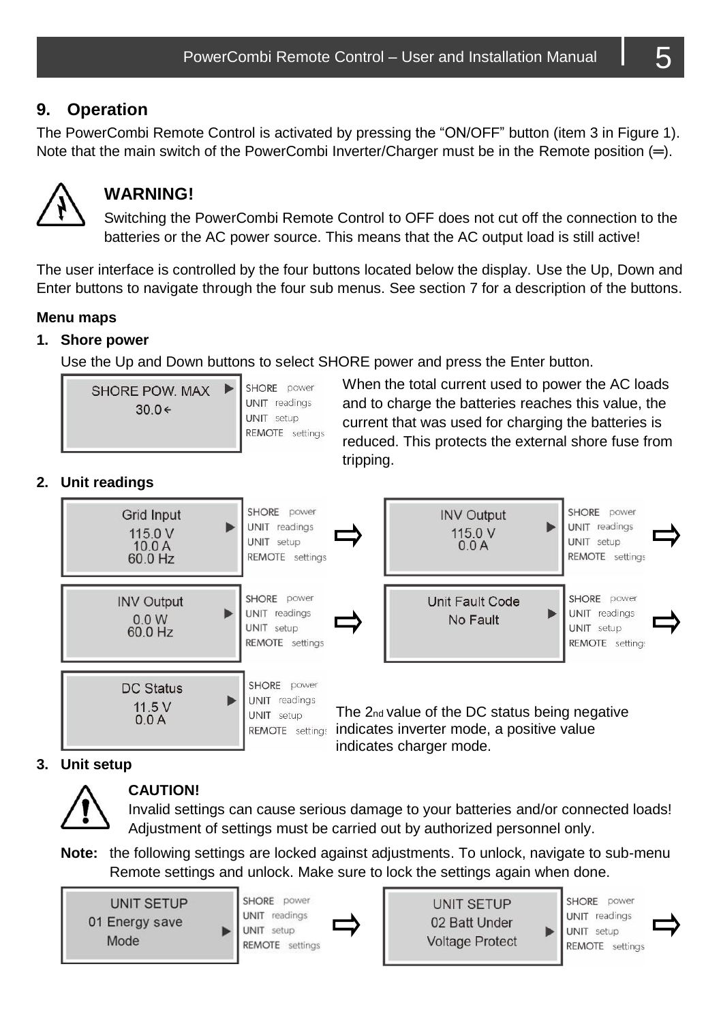## **9. Operation**

The PowerCombi Remote Control is activated by pressing the "ON/OFF" button (item 3 in [Figure 1\)](#page-2-0). Note that the main switch of the PowerCombi Inverter/Charger must be in the Remote position (**═**).



## **WARNING!**

Switching the PowerCombi Remote Control to OFF does not cut off the connection to the batteries or the AC power source. This means that the AC output load is still active!

The user interface is controlled by the four buttons located below the display. Use the Up, Down and Enter buttons to navigate through the four sub menus. See sectio[n 7](#page-2-1) for a description of the buttons.

#### **Menu maps**

#### <span id="page-4-0"></span>**1. Shore power**

Use the Up and Down buttons to select SHORE power and press the Enter button.

| SHORE POW. MAX<br>$30.0 \div$ |  | SHORE power<br>UNIT readings<br>UNIT setup<br>REMOTE setting |
|-------------------------------|--|--------------------------------------------------------------|
|-------------------------------|--|--------------------------------------------------------------|

When the total current used to power the AC loads and to charge the batteries reaches this value, the current that was used for charging the batteries is reduced. This protects the external shore fuse from tripping.

#### <span id="page-4-1"></span>**2. Unit readings**



#### <span id="page-4-2"></span>**3. Unit setup**



#### **CAUTION!**

Invalid settings can cause serious damage to your batteries and/or connected loads! Adjustment of settings must be carried out by authorized personnel only.

**Note:** the following settings are locked against adjustments. To unlock, navigate to sub-menu Remote settings and unlock. Make sure to lock the settings again when done.

**UNIT SETUP** 01 Energy save Mode



**UNIT SETUP** 02 Batt Under **Voltage Protect** 

SHORE power **UNIT** readings **UNIT** setup REMOTE settings

ь

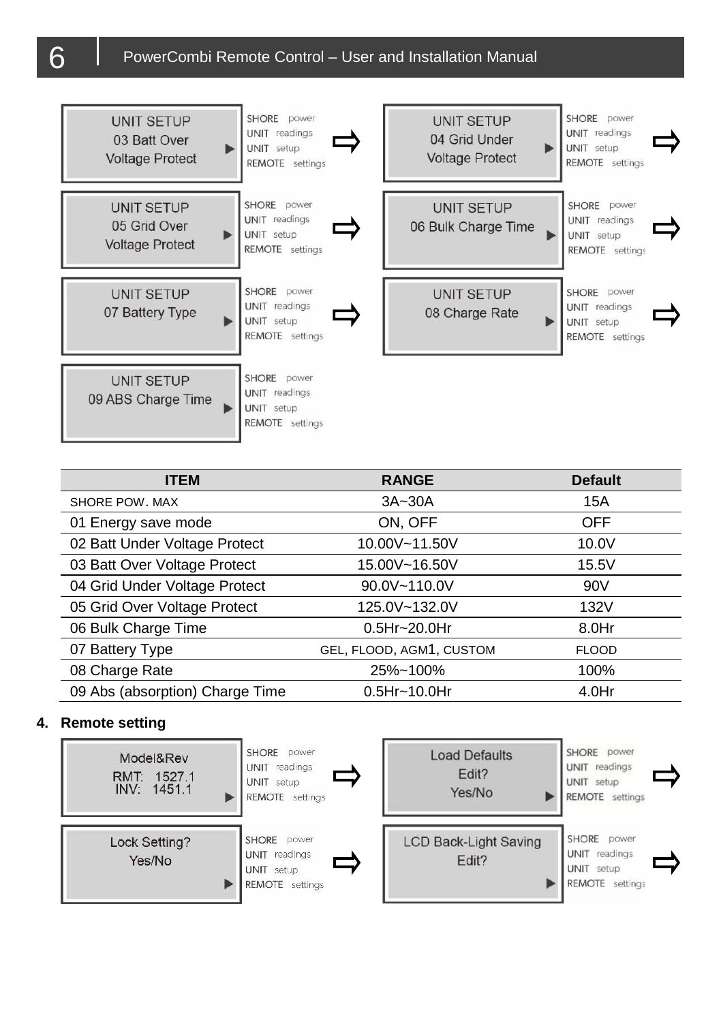## $6$  PowerCombi Remote Control – User and Installation Manual



| <b>ITEM</b>                     | <b>RANGE</b>             | <b>Default</b>  |
|---------------------------------|--------------------------|-----------------|
| SHORE POW. MAX                  | 3A~30A                   | 15A             |
| 01 Energy save mode             | ON, OFF                  | <b>OFF</b>      |
| 02 Batt Under Voltage Protect   | 10.00V~11.50V            | 10.0V           |
| 03 Batt Over Voltage Protect    | 15.00V~16.50V            | 15.5V           |
| 04 Grid Under Voltage Protect   | 90.0V~110.0V             | 90 <sub>V</sub> |
| 05 Grid Over Voltage Protect    | 125.0V~132.0V            | 132V            |
| 06 Bulk Charge Time             | $0.5Hr - 20.0Hr$         | 8.0Hr           |
| 07 Battery Type                 | GEL, FLOOD, AGM1, CUSTOM | <b>FLOOD</b>    |
| 08 Charge Rate                  | 25%~100%                 | 100%            |
| 09 Abs (absorption) Charge Time | $0.5Hr - 10.0Hr$         | $4.0$ Hr        |

#### <span id="page-5-0"></span>**4. Remote setting**

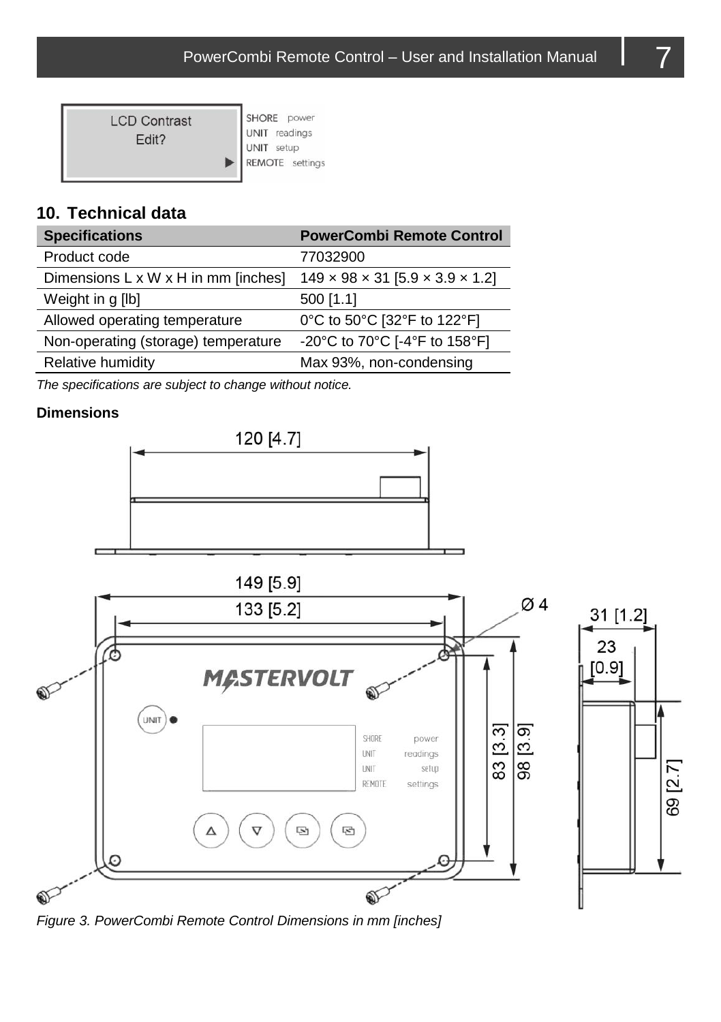| <b>LCD Contrast</b><br>Fdit? | SHORE power<br>UNIT readings<br>UNIT setup<br>REMOTE settings |
|------------------------------|---------------------------------------------------------------|
|------------------------------|---------------------------------------------------------------|

## **10. Technical data**

| <b>Specifications</b>               | <b>PowerCombi Remote Control</b>                          |
|-------------------------------------|-----------------------------------------------------------|
| Product code                        | 77032900                                                  |
| Dimensions L x W x H in mm [inches] | $149 \times 98 \times 31$ [5.9 $\times$ 3.9 $\times$ 1.2] |
| Weight in g [lb]                    | 500 [1.1]                                                 |
| Allowed operating temperature       | 0°C to 50°C [32°F to 122°F]                               |
| Non-operating (storage) temperature | -20°C to 70°C [-4°F to 158°F]                             |
| Relative humidity                   | Max 93%, non-condensing                                   |
|                                     |                                                           |

*The specifications are subject to change without notice.*

#### **Dimensions**





<span id="page-6-0"></span>

31 [1.2] 23

69 [2.7]